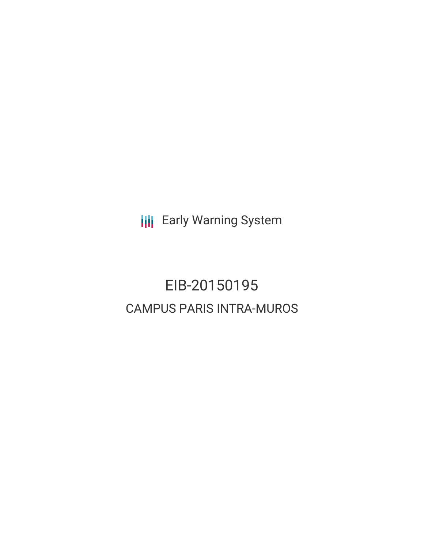**III** Early Warning System

# EIB-20150195 CAMPUS PARIS INTRA-MUROS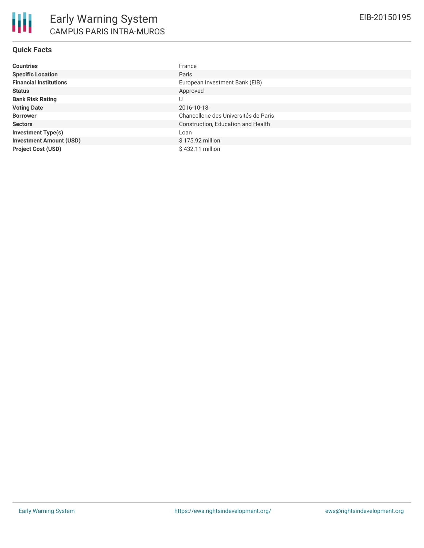# **Quick Facts**

| <b>Countries</b>               | France                                |
|--------------------------------|---------------------------------------|
| <b>Specific Location</b>       | Paris                                 |
| <b>Financial Institutions</b>  | European Investment Bank (EIB)        |
| <b>Status</b>                  | Approved                              |
| <b>Bank Risk Rating</b>        | U                                     |
| <b>Voting Date</b>             | 2016-10-18                            |
| <b>Borrower</b>                | Chancellerie des Universités de Paris |
| <b>Sectors</b>                 | Construction, Education and Health    |
| <b>Investment Type(s)</b>      | Loan                                  |
| <b>Investment Amount (USD)</b> | \$175.92 million                      |
| <b>Project Cost (USD)</b>      | $$432.11$ million                     |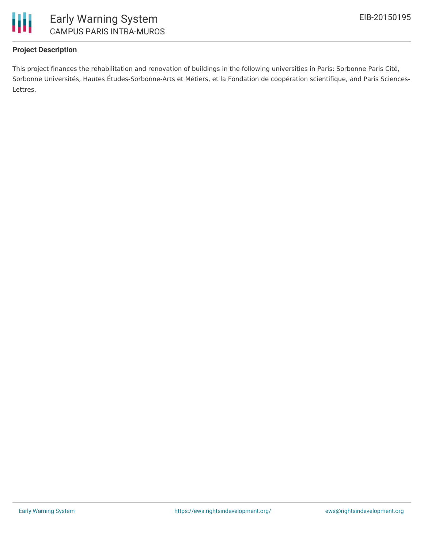

# **Project Description**

This project finances the rehabilitation and renovation of buildings in the following universities in Paris: Sorbonne Paris Cité, Sorbonne Universités, Hautes Études-Sorbonne-Arts et Métiers, et la Fondation de coopération scientifique, and Paris Sciences-Lettres.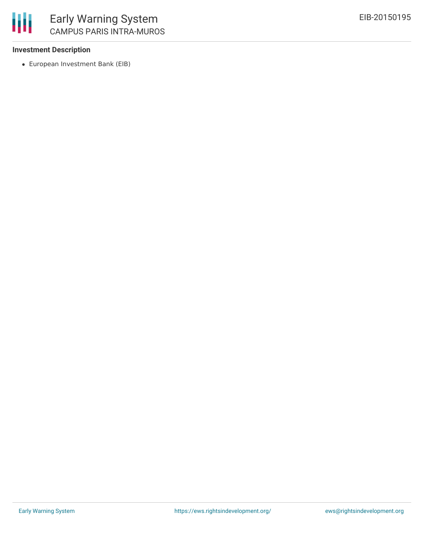## **Investment Description**

European Investment Bank (EIB)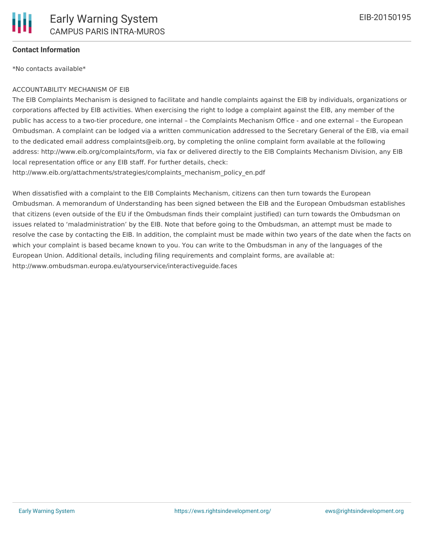

### **Contact Information**

\*No contacts available\*

#### ACCOUNTABILITY MECHANISM OF EIB

The EIB Complaints Mechanism is designed to facilitate and handle complaints against the EIB by individuals, organizations or corporations affected by EIB activities. When exercising the right to lodge a complaint against the EIB, any member of the public has access to a two-tier procedure, one internal – the Complaints Mechanism Office - and one external – the European Ombudsman. A complaint can be lodged via a written communication addressed to the Secretary General of the EIB, via email to the dedicated email address complaints@eib.org, by completing the online complaint form available at the following address: http://www.eib.org/complaints/form, via fax or delivered directly to the EIB Complaints Mechanism Division, any EIB local representation office or any EIB staff. For further details, check:

http://www.eib.org/attachments/strategies/complaints\_mechanism\_policy\_en.pdf

When dissatisfied with a complaint to the EIB Complaints Mechanism, citizens can then turn towards the European Ombudsman. A memorandum of Understanding has been signed between the EIB and the European Ombudsman establishes that citizens (even outside of the EU if the Ombudsman finds their complaint justified) can turn towards the Ombudsman on issues related to 'maladministration' by the EIB. Note that before going to the Ombudsman, an attempt must be made to resolve the case by contacting the EIB. In addition, the complaint must be made within two years of the date when the facts on which your complaint is based became known to you. You can write to the Ombudsman in any of the languages of the European Union. Additional details, including filing requirements and complaint forms, are available at: http://www.ombudsman.europa.eu/atyourservice/interactiveguide.faces